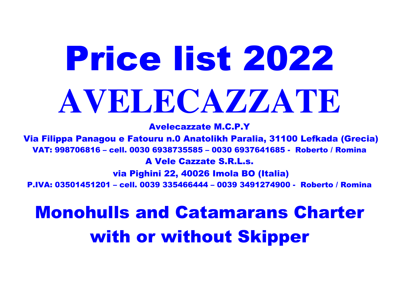## Price list 2022**AVELECAZZATE**

Avelecazzate M.C.P.Y

 Via Filippa Panagou e Fatouru n.0 Anatolikh Paralia, 31100 Lefkada (Grecia)VAT: 998706816 – cell. 0030 6938735585 – 0030 6937641685 - Roberto / Romina A Vele Cazzate S.R.L.s. via Pighini 22, 40026 Imola BO (Italia)

P.IVA: 03501451201 – cell. 0039 335466444 – 0039 3491274900 - Roberto / Romina

## Monohulls and Catamarans Charter with or without Skipper